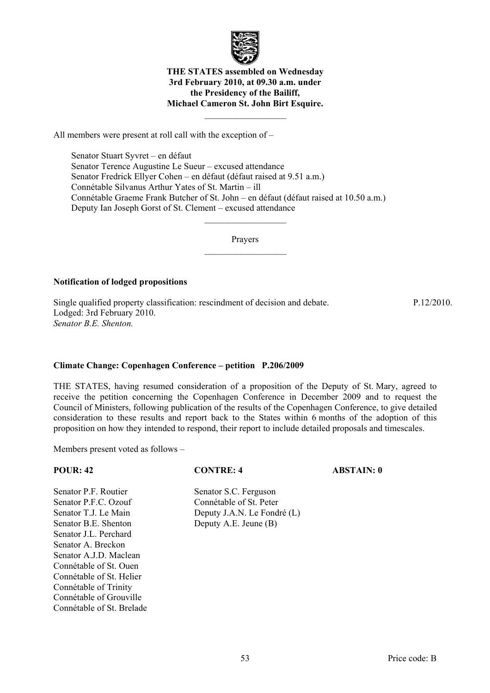

## **THE STATES assembled on Wednesday 3rd February 2010, at 09.30 a.m. under the Presidency of the Bailiff, Michael Cameron St. John Birt Esquire.**

 $\mathcal{L}_\text{max}$ 

All members were present at roll call with the exception of –

 Senator Stuart Syvret – en défaut Senator Terence Augustine Le Sueur – excused attendance Senator Fredrick Ellyer Cohen – en défaut (défaut raised at 9.51 a.m.) Connétable Silvanus Arthur Yates of St. Martin – ill Connétable Graeme Frank Butcher of St. John – en défaut (défaut raised at 10.50 a.m.) Deputy Ian Joseph Gorst of St. Clement – excused attendance

> Prayers  $\mathcal{L}_\text{max}$

> $\mathcal{L}_\text{max}$

## **Notification of lodged propositions**

Single qualified property classification: rescindment of decision and debate. Lodged: 3rd February 2010. *Senator B.E. Shenton.* 

## **Climate Change: Copenhagen Conference – petition P.206/2009**

THE STATES, having resumed consideration of a proposition of the Deputy of St. Mary, agreed to receive the petition concerning the Copenhagen Conference in December 2009 and to request the Council of Ministers, following publication of the results of the Copenhagen Conference, to give detailed consideration to these results and report back to the States within 6 months of the adoption of this proposition on how they intended to respond, their report to include detailed proposals and timescales.

Members present voted as follows –

Connétable of Trinity Connétable of Grouville Connétable of St. Brelade

| <b>POUR: 42</b>          | <b>CONTRE: 4</b>            | <b>ABSTAIN: 0</b> |
|--------------------------|-----------------------------|-------------------|
| Senator P.F. Routier     | Senator S.C. Ferguson       |                   |
| Senator P.F.C. Ozouf     | Connétable of St. Peter     |                   |
| Senator T.J. Le Main     | Deputy J.A.N. Le Fondré (L) |                   |
| Senator B.E. Shenton     | Deputy A.E. Jeune (B)       |                   |
| Senator J.L. Perchard    |                             |                   |
| Senator A. Breckon       |                             |                   |
| Senator A.J.D. Maclean   |                             |                   |
| Connétable of St. Ouen   |                             |                   |
| Connétable of St. Helier |                             |                   |

P.12/2010.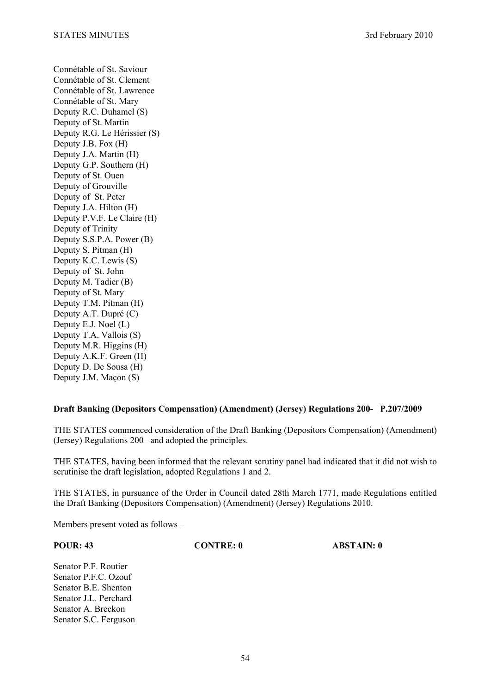Connétable of St. Saviour Connétable of St. Clement Connétable of St. Lawrence Connétable of St. Mary Deputy R.C. Duhamel (S) Deputy of St. Martin Deputy R.G. Le Hérissier (S) Deputy J.B. Fox (H) Deputy J.A. Martin (H) Deputy G.P. Southern (H) Deputy of St. Ouen Deputy of Grouville Deputy of St. Peter Deputy J.A. Hilton (H) Deputy P.V.F. Le Claire (H) Deputy of Trinity Deputy S.S.P.A. Power (B) Deputy S. Pitman (H) Deputy K.C. Lewis (S) Deputy of St. John Deputy M. Tadier (B) Deputy of St. Mary Deputy T.M. Pitman (H) Deputy A.T. Dupré (C) Deputy E.J. Noel (L) Deputy T.A. Vallois (S) Deputy M.R. Higgins (H) Deputy A.K.F. Green (H) Deputy D. De Sousa (H) Deputy J.M. Maçon (S)

## **Draft Banking (Depositors Compensation) (Amendment) (Jersey) Regulations 200- P.207/2009**

THE STATES commenced consideration of the Draft Banking (Depositors Compensation) (Amendment) (Jersey) Regulations 200– and adopted the principles.

THE STATES, having been informed that the relevant scrutiny panel had indicated that it did not wish to scrutinise the draft legislation, adopted Regulations 1 and 2.

THE STATES, in pursuance of the Order in Council dated 28th March 1771, made Regulations entitled the Draft Banking (Depositors Compensation) (Amendment) (Jersey) Regulations 2010.

Members present voted as follows –

**POUR: 43 CONTRE: 0 ABSTAIN: 0** 

Senator P.F. Routier Senator P.F.C. Ozouf Senator B.E. Shenton Senator J.L. Perchard Senator A. Breckon Senator S.C. Ferguson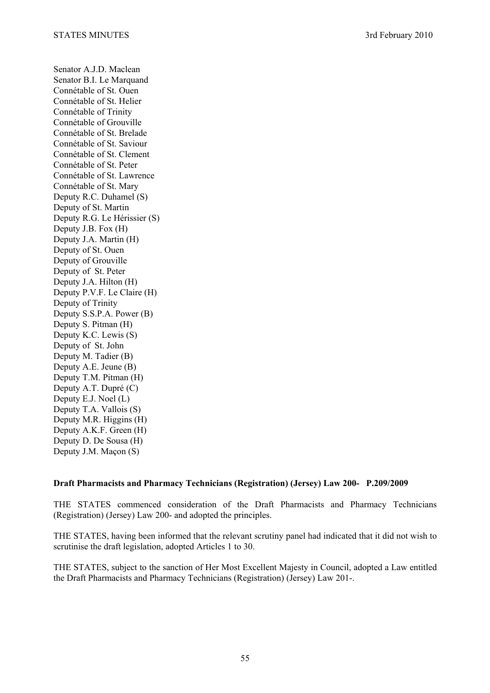Senator A.J.D. Maclean Senator B.I. Le Marquand Connétable of St. Ouen Connétable of St. Helier Connétable of Trinity Connétable of Grouville Connétable of St. Brelade Connétable of St. Saviour Connétable of St. Clement Connétable of St. Peter Connétable of St. Lawrence Connétable of St. Mary Deputy R.C. Duhamel (S) Deputy of St. Martin Deputy R.G. Le Hérissier (S) Deputy J.B. Fox (H) Deputy J.A. Martin (H) Deputy of St. Ouen Deputy of Grouville Deputy of St. Peter Deputy J.A. Hilton (H) Deputy P.V.F. Le Claire (H) Deputy of Trinity Deputy S.S.P.A. Power (B) Deputy S. Pitman (H) Deputy K.C. Lewis (S) Deputy of St. John Deputy M. Tadier (B) Deputy A.E. Jeune (B) Deputy T.M. Pitman (H) Deputy A.T. Dupré (C) Deputy E.J. Noel (L) Deputy T.A. Vallois (S) Deputy M.R. Higgins (H) Deputy A.K.F. Green (H) Deputy D. De Sousa (H) Deputy J.M. Maçon (S)

## **Draft Pharmacists and Pharmacy Technicians (Registration) (Jersey) Law 200- P.209/2009**

THE STATES commenced consideration of the Draft Pharmacists and Pharmacy Technicians (Registration) (Jersey) Law 200- and adopted the principles.

THE STATES, having been informed that the relevant scrutiny panel had indicated that it did not wish to scrutinise the draft legislation, adopted Articles 1 to 30.

THE STATES, subject to the sanction of Her Most Excellent Majesty in Council, adopted a Law entitled the Draft Pharmacists and Pharmacy Technicians (Registration) (Jersey) Law 201-.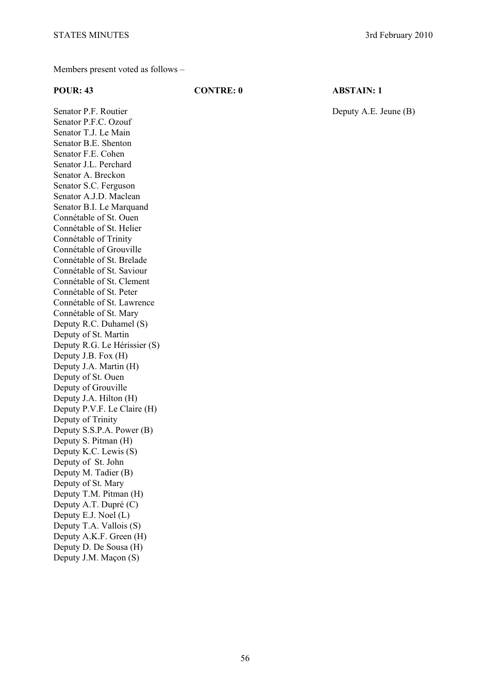Members present voted as follows –

### **POUR: 43 CONTRE: 0 ABSTAIN: 1**

Senator P.F. Routier Deputy A.E. Jeune (B) Senator P.F.C. Ozouf Senator T.J. Le Main Senator B.E. Shenton Senator F.E. Cohen Senator J.L. Perchard Senator A. Breckon Senator S.C. Ferguson Senator A.J.D. Maclean Senator B.I. Le Marquand Connétable of St. Ouen Connétable of St. Helier Connétable of Trinity Connétable of Grouville Connétable of St. Brelade Connétable of St. Saviour Connétable of St. Clement Connétable of St. Peter Connétable of St. Lawrence Connétable of St. Mary Deputy R.C. Duhamel (S) Deputy of St. Martin Deputy R.G. Le Hérissier (S) Deputy J.B. Fox (H) Deputy J.A. Martin (H) Deputy of St. Ouen Deputy of Grouville Deputy J.A. Hilton (H) Deputy P.V.F. Le Claire (H) Deputy of Trinity Deputy S.S.P.A. Power (B) Deputy S. Pitman (H) Deputy K.C. Lewis (S) Deputy of St. John Deputy M. Tadier (B) Deputy of St. Mary Deputy T.M. Pitman (H) Deputy A.T. Dupré (C) Deputy E.J. Noel (L) Deputy T.A. Vallois (S) Deputy A.K.F. Green (H) Deputy D. De Sousa (H) Deputy J.M. Maçon (S)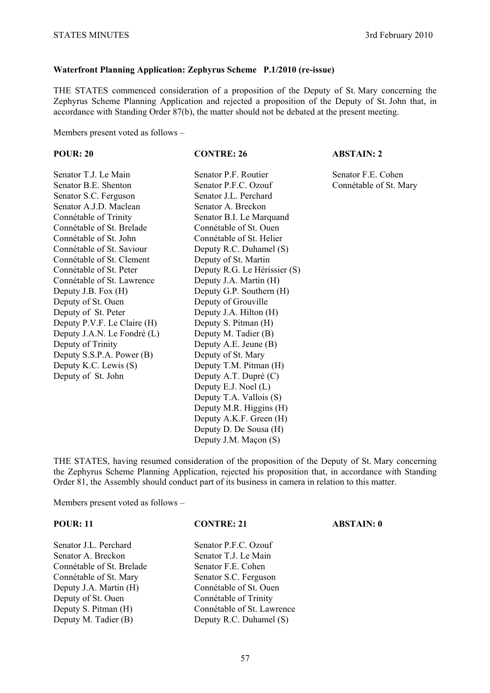## **Waterfront Planning Application: Zephyrus Scheme P.1/2010 (re-issue)**

THE STATES commenced consideration of a proposition of the Deputy of St. Mary concerning the Zephyrus Scheme Planning Application and rejected a proposition of the Deputy of St. John that, in accordance with Standing Order 87(b), the matter should not be debated at the present meeting.

Members present voted as follows –

| <b>POUR: 20</b>             | <b>CONTRE: 26</b>            | <b>ABSTAIN: 2</b>      |
|-----------------------------|------------------------------|------------------------|
| Senator T.J. Le Main        | Senator P.F. Routier         | Senator F.E. Cohen     |
| Senator B.E. Shenton        | Senator P.F.C. Ozouf         | Connétable of St. Mary |
| Senator S.C. Ferguson       | Senator J.L. Perchard        |                        |
| Senator A.J.D. Maclean      | Senator A. Breckon           |                        |
| Connétable of Trinity       | Senator B.I. Le Marquand     |                        |
| Connétable of St. Brelade   | Connétable of St. Ouen       |                        |
| Connétable of St. John      | Connétable of St. Helier     |                        |
| Connétable of St. Saviour   | Deputy R.C. Duhamel (S)      |                        |
| Connétable of St. Clement   | Deputy of St. Martin         |                        |
| Connétable of St. Peter     | Deputy R.G. Le Hérissier (S) |                        |
| Connétable of St. Lawrence  | Deputy J.A. Martin (H)       |                        |
| Deputy J.B. Fox (H)         | Deputy G.P. Southern (H)     |                        |
| Deputy of St. Ouen          | Deputy of Grouville          |                        |
| Deputy of St. Peter         | Deputy J.A. Hilton (H)       |                        |
| Deputy P.V.F. Le Claire (H) | Deputy S. Pitman (H)         |                        |
| Deputy J.A.N. Le Fondré (L) | Deputy M. Tadier (B)         |                        |
| Deputy of Trinity           | Deputy A.E. Jeune (B)        |                        |
| Deputy S.S.P.A. Power (B)   | Deputy of St. Mary           |                        |
| Deputy K.C. Lewis (S)       | Deputy T.M. Pitman (H)       |                        |
| Deputy of St. John          | Deputy A.T. Dupré (C)        |                        |
|                             | Deputy E.J. Noel (L)         |                        |
|                             | Deputy T.A. Vallois (S)      |                        |
|                             | Deputy M.R. Higgins (H)      |                        |
|                             | Deputy A.K.F. Green (H)      |                        |
|                             | Deputy D. De Sousa (H)       |                        |
|                             | Deputy J.M. Maçon (S)        |                        |

THE STATES, having resumed consideration of the proposition of the Deputy of St. Mary concerning the Zephyrus Scheme Planning Application, rejected his proposition that, in accordance with Standing Order 81, the Assembly should conduct part of its business in camera in relation to this matter.

Members present voted as follows –

Senator J.L. Perchard Senator P.F.C. Ozouf Senator A. Breckon Senator T.J. Le Main Connétable of St. Brelade Senator F.E. Cohen Connétable of St. Mary Senator S.C. Ferguson Deputy J.A. Martin (H) Connétable of St. Ouen Deputy of St. Ouen Connétable of Trinity Deputy M. Tadier (B) Deputy R.C. Duhamel (S)

**POUR: 11 CONTRE: 21 ABSTAIN: 0** 

Deputy S. Pitman (H) Connétable of St. Lawrence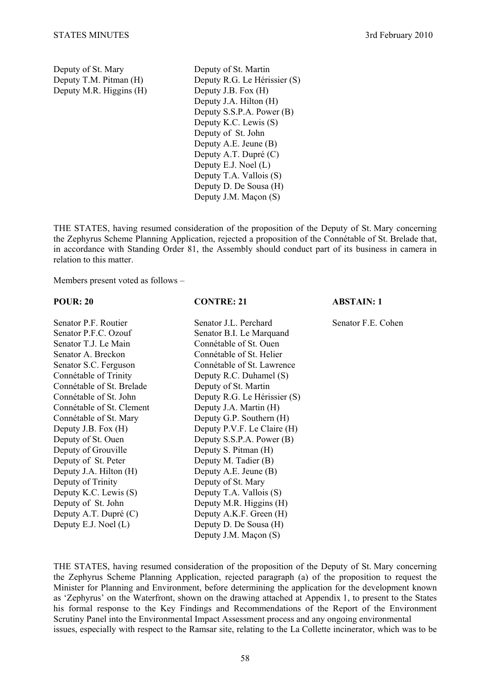Deputy M.R. Higgins (H) Deputy J.B. Fox (H)

Deputy of St. Mary Deputy of St. Martin Deputy T.M. Pitman (H) Deputy R.G. Le Hérissier (S) Deputy J.A. Hilton (H) Deputy S.S.P.A. Power (B) Deputy K.C. Lewis (S) Deputy of St. John Deputy A.E. Jeune (B) Deputy A.T. Dupré (C) Deputy E.J. Noel (L) Deputy T.A. Vallois (S) Deputy D. De Sousa (H) Deputy J.M. Maçon (S)

THE STATES, having resumed consideration of the proposition of the Deputy of St. Mary concerning the Zephyrus Scheme Planning Application, rejected a proposition of the Connétable of St. Brelade that, in accordance with Standing Order 81, the Assembly should conduct part of its business in camera in relation to this matter.

Members present voted as follows –

### **POUR: 20 CONTRE: 21 ABSTAIN: 1**

| Senator P.F. Routier      | Senator J.L. Perchard        | Senator F.E. Cohen |
|---------------------------|------------------------------|--------------------|
| Senator P.F.C. Ozouf      | Senator B.I. Le Marquand     |                    |
| Senator T.J. Le Main      | Connétable of St. Ouen       |                    |
| Senator A. Breckon        | Connétable of St. Helier     |                    |
| Senator S.C. Ferguson     | Connétable of St. Lawrence   |                    |
| Connétable of Trinity     | Deputy R.C. Duhamel (S)      |                    |
| Connétable of St. Brelade | Deputy of St. Martin         |                    |
| Connétable of St. John    | Deputy R.G. Le Hérissier (S) |                    |
| Connétable of St. Clement | Deputy J.A. Martin (H)       |                    |
| Connétable of St. Mary    | Deputy G.P. Southern (H)     |                    |
| Deputy J.B. Fox (H)       | Deputy P.V.F. Le Claire (H)  |                    |
| Deputy of St. Ouen        | Deputy S.S.P.A. Power (B)    |                    |
| Deputy of Grouville       | Deputy S. Pitman (H)         |                    |
| Deputy of St. Peter       | Deputy M. Tadier (B)         |                    |
| Deputy J.A. Hilton (H)    | Deputy A.E. Jeune (B)        |                    |
| Deputy of Trinity         | Deputy of St. Mary           |                    |
| Deputy K.C. Lewis (S)     | Deputy T.A. Vallois (S)      |                    |
| Deputy of St. John        | Deputy M.R. Higgins (H)      |                    |
| Deputy A.T. Dupré (C)     | Deputy A.K.F. Green (H)      |                    |
| Deputy E.J. Noel $(L)$    | Deputy D. De Sousa (H)       |                    |
|                           | Deputy J.M. Maçon (S)        |                    |

THE STATES, having resumed consideration of the proposition of the Deputy of St. Mary concerning the Zephyrus Scheme Planning Application, rejected paragraph (a) of the proposition to request the Minister for Planning and Environment, before determining the application for the development known as 'Zephyrus' on the Waterfront, shown on the drawing attached at Appendix 1, to present to the States his formal response to the Key Findings and Recommendations of the Report of the Environment Scrutiny Panel into the Environmental Impact Assessment process and any ongoing environmental issues, especially with respect to the Ramsar site, relating to the La Collette incinerator, which was to be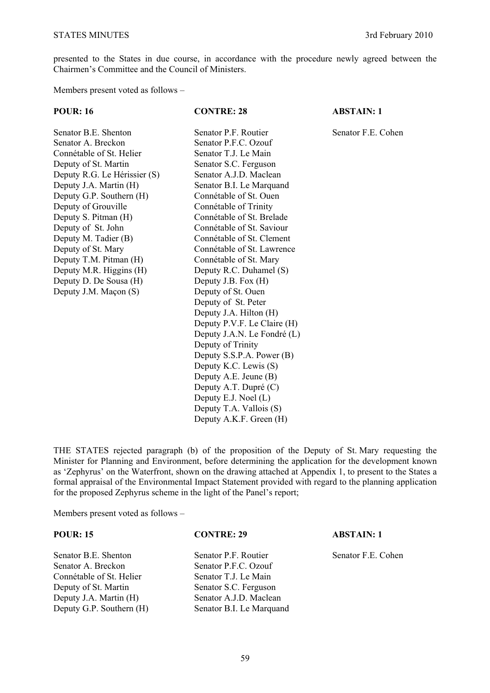presented to the States in due course, in accordance with the procedure newly agreed between the Chairmen's Committee and the Council of Ministers.

Members present voted as follows –

| <b>POUR: 16</b>              | <b>CONTRE: 28</b>           | <b>ABSTAIN: 1</b>  |
|------------------------------|-----------------------------|--------------------|
| Senator B.E. Shenton         | Senator P.F. Routier        | Senator F.E. Cohen |
| Senator A. Breckon           | Senator P.F.C. Ozouf        |                    |
| Connétable of St. Helier     | Senator T.J. Le Main        |                    |
| Deputy of St. Martin         | Senator S.C. Ferguson       |                    |
| Deputy R.G. Le Hérissier (S) | Senator A.J.D. Maclean      |                    |
| Deputy J.A. Martin (H)       | Senator B.I. Le Marquand    |                    |
| Deputy G.P. Southern (H)     | Connétable of St. Ouen      |                    |
| Deputy of Grouville          | Connétable of Trinity       |                    |
| Deputy S. Pitman (H)         | Connétable of St. Brelade   |                    |
| Deputy of St. John           | Connétable of St. Saviour   |                    |
| Deputy M. Tadier (B)         | Connétable of St. Clement   |                    |
| Deputy of St. Mary           | Connétable of St. Lawrence  |                    |
| Deputy T.M. Pitman (H)       | Connétable of St. Mary      |                    |
| Deputy M.R. Higgins (H)      | Deputy R.C. Duhamel (S)     |                    |
| Deputy D. De Sousa (H)       | Deputy J.B. Fox (H)         |                    |
| Deputy J.M. Maçon (S)        | Deputy of St. Ouen          |                    |
|                              | Deputy of St. Peter         |                    |
|                              | Deputy J.A. Hilton (H)      |                    |
|                              | Deputy P.V.F. Le Claire (H) |                    |
|                              | Deputy J.A.N. Le Fondré (L) |                    |
|                              | Deputy of Trinity           |                    |
|                              | Deputy S.S.P.A. Power (B)   |                    |
|                              | Deputy K.C. Lewis (S)       |                    |
|                              | Deputy A.E. Jeune (B)       |                    |
|                              | Deputy A.T. Dupré (C)       |                    |
|                              | Deputy E.J. Noel (L)        |                    |
|                              | Deputy T.A. Vallois (S)     |                    |
|                              | Deputy A.K.F. Green (H)     |                    |

THE STATES rejected paragraph (b) of the proposition of the Deputy of St. Mary requesting the Minister for Planning and Environment, before determining the application for the development known as 'Zephyrus' on the Waterfront, shown on the drawing attached at Appendix 1, to present to the States a formal appraisal of the Environmental Impact Statement provided with regard to the planning application for the proposed Zephyrus scheme in the light of the Panel's report;

Members present voted as follows –

| <b>POUR: 15</b>          | <b>CONTRE: 29</b>        | <b>ABSTAIN: 1</b>  |
|--------------------------|--------------------------|--------------------|
| Senator B.E. Shenton     | Senator P.F. Routier     | Senator F.E. Cohen |
| Senator A. Breckon       | Senator P.F.C. Ozouf     |                    |
| Connétable of St. Helier | Senator T.J. Le Main     |                    |
| Deputy of St. Martin     | Senator S.C. Ferguson    |                    |
| Deputy J.A. Martin (H)   | Senator A.J.D. Maclean   |                    |
| Deputy G.P. Southern (H) | Senator B.I. Le Marquand |                    |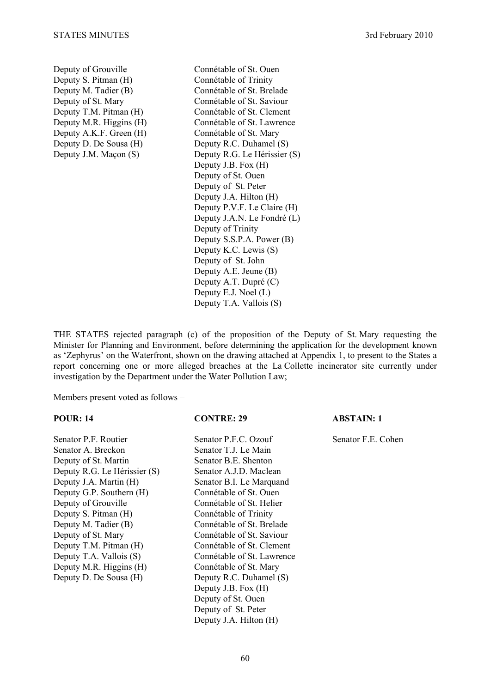Deputy of Grouville Connétable of St. Ouen Deputy S. Pitman (H) Connétable of Trinity Deputy M. Tadier (B) Connétable of St. Brelade Deputy of St. Mary Connétable of St. Saviour Deputy A.K.F. Green (H) Connétable of St. Mary

Deputy T.M. Pitman (H) Connétable of St. Clement Deputy M.R. Higgins (H) Connétable of St. Lawrence Deputy D. De Sousa (H) Deputy R.C. Duhamel (S) Deputy J.M. Maçon (S) Deputy R.G. Le Hérissier (S) Deputy J.B. Fox (H) Deputy of St. Ouen Deputy of St. Peter Deputy J.A. Hilton (H) Deputy P.V.F. Le Claire (H) Deputy J.A.N. Le Fondré (L) Deputy of Trinity Deputy S.S.P.A. Power (B) Deputy K.C. Lewis (S) Deputy of St. John Deputy A.E. Jeune (B) Deputy A.T. Dupré (C) Deputy E.J. Noel (L) Deputy T.A. Vallois (S)

THE STATES rejected paragraph (c) of the proposition of the Deputy of St. Mary requesting the Minister for Planning and Environment, before determining the application for the development known as 'Zephyrus' on the Waterfront, shown on the drawing attached at Appendix 1, to present to the States a report concerning one or more alleged breaches at the La Collette incinerator site currently under investigation by the Department under the Water Pollution Law;

Members present voted as follows –

### **POUR: 14 CONTRE: 29 ABSTAIN: 1**

Senator P.F. Routier Senator P.F.C. Ozouf Senator F.E. Cohen Senator A. Breckon Senator T.J. Le Main Deputy of St. Martin Senator B.E. Shenton Deputy R.G. Le Hérissier (S) Senator A.J.D. Maclean Deputy J.A. Martin (H) Senator B.I. Le Marquand Deputy G.P. Southern (H) Connétable of St. Ouen Deputy of Grouville Connétable of St. Helier Deputy S. Pitman (H) Connétable of Trinity Deputy M. Tadier (B) Connétable of St. Brelade Deputy of St. Mary Connétable of St. Saviour Deputy T.M. Pitman (H) Connétable of St. Clement Deputy T.A. Vallois (S) Connétable of St. Lawrence Deputy M.R. Higgins (H) Connétable of St. Mary Deputy D. De Sousa (H) Deputy R.C. Duhamel (S)

Deputy J.B. Fox (H) Deputy of St. Ouen Deputy of St. Peter Deputy J.A. Hilton (H)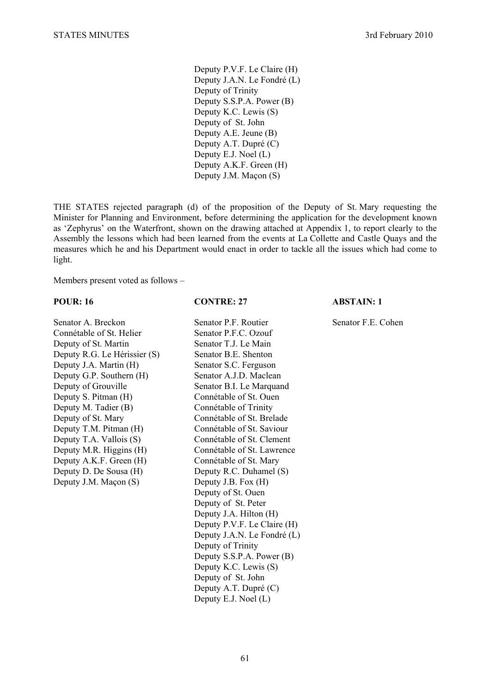Deputy P.V.F. Le Claire (H) Deputy J.A.N. Le Fondré (L) Deputy of Trinity Deputy S.S.P.A. Power (B) Deputy K.C. Lewis (S) Deputy of St. John Deputy A.E. Jeune (B) Deputy A.T. Dupré (C) Deputy E.J. Noel (L) Deputy A.K.F. Green (H) Deputy J.M. Maçon (S)

THE STATES rejected paragraph (d) of the proposition of the Deputy of St. Mary requesting the Minister for Planning and Environment, before determining the application for the development known as 'Zephyrus' on the Waterfront, shown on the drawing attached at Appendix 1, to report clearly to the Assembly the lessons which had been learned from the events at La Collette and Castle Quays and the measures which he and his Department would enact in order to tackle all the issues which had come to light.

Members present voted as follows –

### **POUR: 16 CONTRE: 27 ABSTAIN: 1**

Senator A. Breckon Senator P.F. Routier Senator F.E. Cohen Connétable of St. Helier Senator P.F.C. Ozouf Deputy of St. Martin Senator T.J. Le Main Deputy R.G. Le Hérissier (S) Senator B.E. Shenton Deputy J.A. Martin (H) Senator S.C. Ferguson Deputy G.P. Southern (H) Senator A.J.D. Maclean Deputy of Grouville Senator B.I. Le Marquand Deputy S. Pitman (H) Connétable of St. Ouen Deputy M. Tadier (B) Connétable of Trinity Deputy of St. Mary Connétable of St. Brelade Deputy T.M. Pitman (H) Connétable of St. Saviour Deputy T.A. Vallois (S) Connétable of St. Clement Deputy M.R. Higgins (H) Connétable of St. Lawrence Deputy A.K.F. Green (H) Connétable of St. Mary Deputy D. De Sousa (H) Deputy R.C. Duhamel (S) Deputy J.M. Maçon (S) Deputy J.B. Fox (H)

Deputy of St. Ouen Deputy of St. Peter Deputy J.A. Hilton (H) Deputy P.V.F. Le Claire (H) Deputy J.A.N. Le Fondré (L) Deputy of Trinity Deputy S.S.P.A. Power (B) Deputy K.C. Lewis (S) Deputy of St. John Deputy A.T. Dupré (C) Deputy E.J. Noel (L)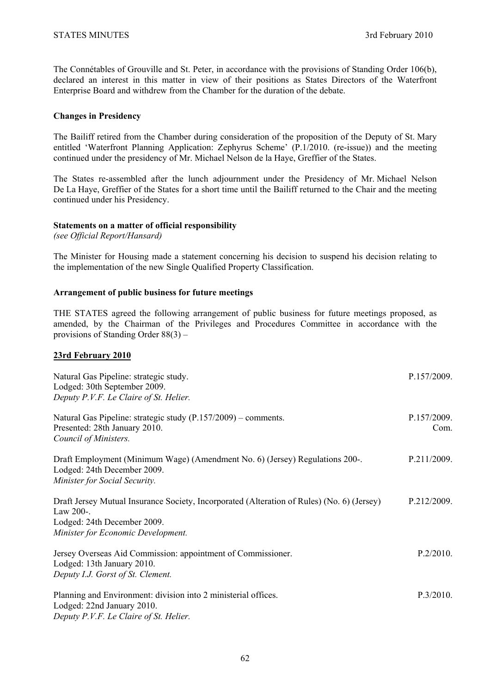The Connétables of Grouville and St. Peter, in accordance with the provisions of Standing Order 106(b), declared an interest in this matter in view of their positions as States Directors of the Waterfront Enterprise Board and withdrew from the Chamber for the duration of the debate.

## **Changes in Presidency**

The Bailiff retired from the Chamber during consideration of the proposition of the Deputy of St. Mary entitled 'Waterfront Planning Application: Zephyrus Scheme' (P.1/2010. (re-issue)) and the meeting continued under the presidency of Mr. Michael Nelson de la Haye, Greffier of the States.

The States re-assembled after the lunch adjournment under the Presidency of Mr. Michael Nelson De La Haye, Greffier of the States for a short time until the Bailiff returned to the Chair and the meeting continued under his Presidency.

## **Statements on a matter of official responsibility**

*(see Official Report/Hansard)* 

The Minister for Housing made a statement concerning his decision to suspend his decision relating to the implementation of the new Single Qualified Property Classification.

## **Arrangement of public business for future meetings**

THE STATES agreed the following arrangement of public business for future meetings proposed, as amended, by the Chairman of the Privileges and Procedures Committee in accordance with the provisions of Standing Order 88(3) –

## **23rd February 2010**

| Natural Gas Pipeline: strategic study.<br>Lodged: 30th September 2009.<br>Deputy P.V.F. Le Claire of St. Helier.                                                             | P.157/2009.         |
|------------------------------------------------------------------------------------------------------------------------------------------------------------------------------|---------------------|
| Natural Gas Pipeline: strategic study (P.157/2009) – comments.<br>Presented: 28th January 2010.<br>Council of Ministers.                                                     | P.157/2009.<br>Com. |
| Draft Employment (Minimum Wage) (Amendment No. 6) (Jersey) Regulations 200-.<br>Lodged: 24th December 2009.<br>Minister for Social Security.                                 | P.211/2009.         |
| Draft Jersey Mutual Insurance Society, Incorporated (Alteration of Rules) (No. 6) (Jersey)<br>Law 200-.<br>Lodged: 24th December 2009.<br>Minister for Economic Development. | P.212/2009.         |
| Jersey Overseas Aid Commission: appointment of Commissioner.<br>Lodged: 13th January 2010.<br>Deputy I.J. Gorst of St. Clement.                                              | P.2/2010.           |
| Planning and Environment: division into 2 ministerial offices.<br>Lodged: 22nd January 2010.<br>Deputy P.V.F. Le Claire of St. Helier.                                       | P.3/2010.           |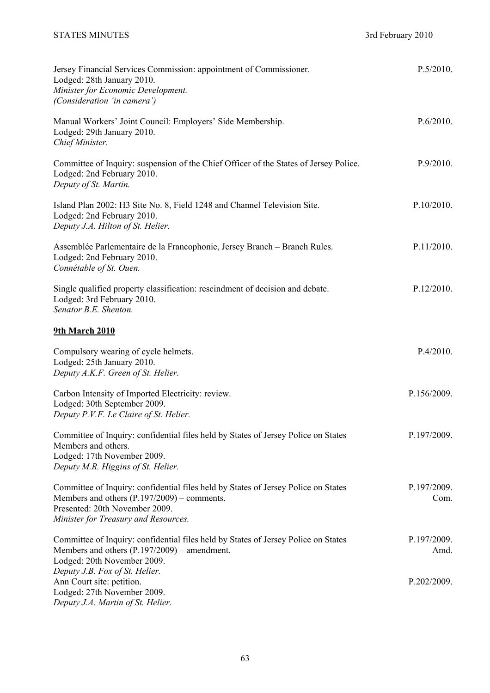| Jersey Financial Services Commission: appointment of Commissioner.<br>Lodged: 28th January 2010.<br>Minister for Economic Development.<br>(Consideration 'in camera')                                       | P.5/2010.           |
|-------------------------------------------------------------------------------------------------------------------------------------------------------------------------------------------------------------|---------------------|
| Manual Workers' Joint Council: Employers' Side Membership.<br>Lodged: 29th January 2010.<br>Chief Minister.                                                                                                 | P.6/2010.           |
| Committee of Inquiry: suspension of the Chief Officer of the States of Jersey Police.<br>Lodged: 2nd February 2010.<br>Deputy of St. Martin.                                                                | P.9/2010.           |
| Island Plan 2002: H3 Site No. 8, Field 1248 and Channel Television Site.<br>Lodged: 2nd February 2010.<br>Deputy J.A. Hilton of St. Helier.                                                                 | P.10/2010.          |
| Assemblée Parlementaire de la Francophonie, Jersey Branch - Branch Rules.<br>Lodged: 2nd February 2010.<br>Connétable of St. Ouen.                                                                          | P.11/2010.          |
| Single qualified property classification: rescindment of decision and debate.<br>Lodged: 3rd February 2010.<br>Senator B.E. Shenton.                                                                        | P.12/2010.          |
| <b>9th March 2010</b>                                                                                                                                                                                       |                     |
| Compulsory wearing of cycle helmets.<br>Lodged: 25th January 2010.<br>Deputy A.K.F. Green of St. Helier.                                                                                                    | P.4/2010.           |
| Carbon Intensity of Imported Electricity: review.<br>Lodged: 30th September 2009.<br>Deputy P.V.F. Le Claire of St. Helier.                                                                                 | P.156/2009.         |
| Committee of Inquiry: confidential files held by States of Jersey Police on States<br>Members and others.<br>Lodged: 17th November 2009.<br>Deputy M.R. Higgins of St. Helier.                              | P.197/2009.         |
| Committee of Inquiry: confidential files held by States of Jersey Police on States<br>Members and others (P.197/2009) – comments.<br>Presented: 20th November 2009.<br>Minister for Treasury and Resources. | P.197/2009.<br>Com. |
| Committee of Inquiry: confidential files held by States of Jersey Police on States<br>Members and others $(P.197/2009)$ – amendment.<br>Lodged: 20th November 2009.                                         | P.197/2009.<br>Amd. |
| Deputy J.B. Fox of St. Helier.<br>Ann Court site: petition.<br>Lodged: 27th November 2009.<br>Deputy J.A. Martin of St. Helier.                                                                             | P.202/2009.         |